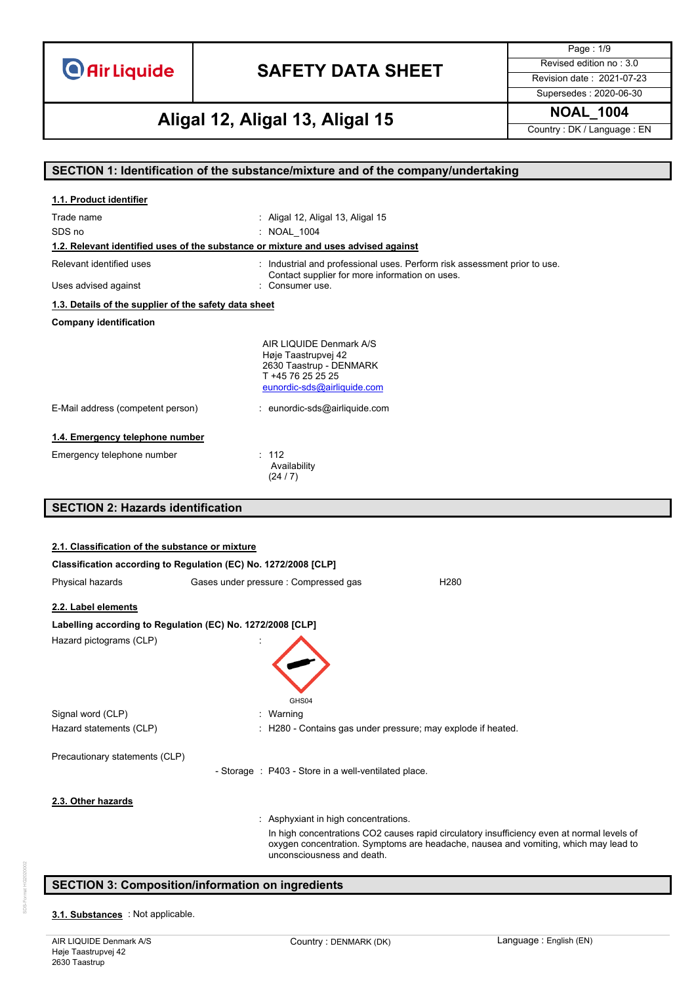# **SAFETY DATA SHEET** Revised edition no : 3.0

Page : 1/9 Supersedes : 2020-06-30

# **NOAL\_1004 Aligal 12, Aligal 13, Aligal 15**

Country : DK / Language : EN

**SECTION 1: Identification of the substance/mixture and of the company/undertaking**

| 1.1. Product identifier                                    |                                                                                                                               |
|------------------------------------------------------------|-------------------------------------------------------------------------------------------------------------------------------|
| Trade name                                                 | : Aligal 12, Aligal 13, Aligal 15                                                                                             |
| SDS no                                                     | : NOAL 1004                                                                                                                   |
|                                                            | 1.2. Relevant identified uses of the substance or mixture and uses advised against                                            |
| Relevant identified uses                                   | : Industrial and professional uses. Perform risk assessment prior to use.<br>Contact supplier for more information on uses.   |
| Uses advised against                                       | : Consumer use.                                                                                                               |
| 1.3. Details of the supplier of the safety data sheet      |                                                                                                                               |
| <b>Company identification</b>                              |                                                                                                                               |
|                                                            | AIR LIQUIDE Denmark A/S<br>Høje Taastrupvej 42<br>2630 Taastrup - DENMARK<br>T +45 76 25 25 25<br>eunordic-sds@airliquide.com |
| E-Mail address (competent person)                          | : eunordic-sds@airliquide.com                                                                                                 |
| 1.4. Emergency telephone number                            |                                                                                                                               |
| Emergency telephone number                                 | : 112<br>Availability<br>(24/7)                                                                                               |
| <b>SECTION 2: Hazards identification</b>                   |                                                                                                                               |
|                                                            |                                                                                                                               |
| 2.1. Classification of the substance or mixture            |                                                                                                                               |
|                                                            |                                                                                                                               |
|                                                            | Classification according to Regulation (EC) No. 1272/2008 [CLP]                                                               |
| Physical hazards                                           | Gases under pressure : Compressed gas<br>H <sub>280</sub>                                                                     |
| 2.2. Label elements                                        |                                                                                                                               |
| Labelling according to Regulation (EC) No. 1272/2008 [CLP] |                                                                                                                               |
| Hazard pictograms (CLP)                                    | GHS04                                                                                                                         |
| Signal word (CLP)                                          | : Warning                                                                                                                     |
| Hazard statements (CLP)                                    | : H280 - Contains gas under pressure; may explode if heated.                                                                  |
| Precautionary statements (CLP)                             |                                                                                                                               |

### 3.1. **Substances** : Not applicable.

**SECTION 3: Composition/information on ingredients**

- Storage : P403 - Store in a well-ventilated place.

: Asphyxiant in high concentrations.

unconsciousness and death.

In high concentrations CO2 causes rapid circulatory insufficiency even at normal levels of oxygen concentration. Symptoms are headache, nausea and vomiting, which may lead to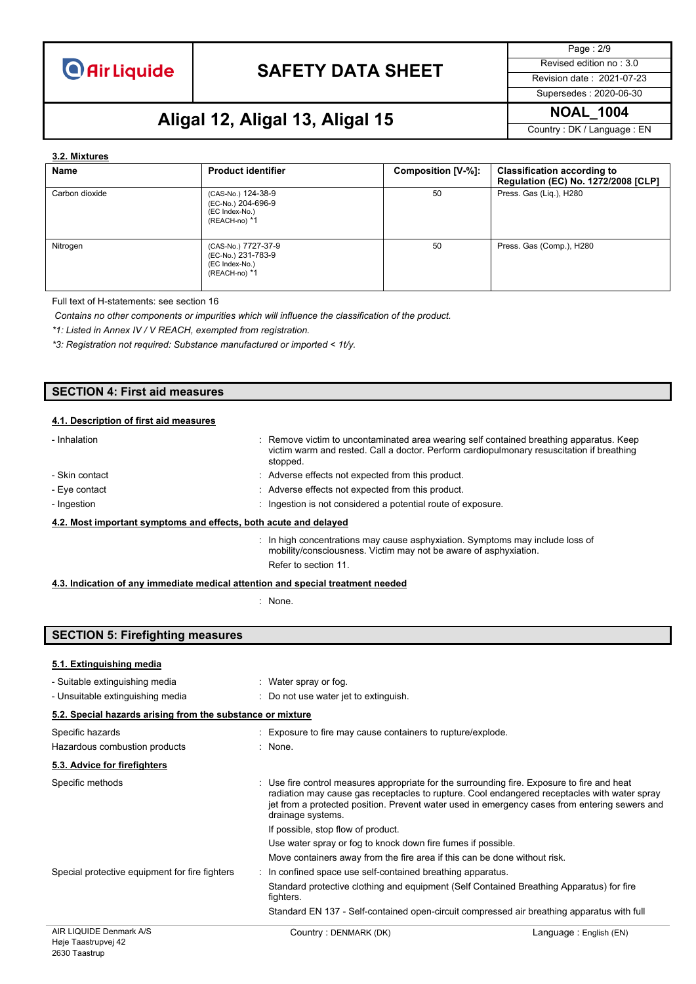

Page : 2/9 Supersedes : 2020-06-30

### **NOAL\_1004 Aligal 12, Aligal 13, Aligal 15**

Country : DK / Language : EN

#### **3.2. Mixtures**

| Name           | <b>Product identifier</b>                                                    | Composition [V-%]: | <b>Classification according to</b><br>Regulation (EC) No. 1272/2008 [CLP] |
|----------------|------------------------------------------------------------------------------|--------------------|---------------------------------------------------------------------------|
| Carbon dioxide | (CAS-No.) 124-38-9<br>(EC-No.) 204-696-9<br>(EC Index-No.)<br>(REACH-no) *1  | 50                 | Press. Gas (Liq.), H280                                                   |
| Nitrogen       | (CAS-No.) 7727-37-9<br>(EC-No.) 231-783-9<br>(EC Index-No.)<br>(REACH-no) *1 | 50                 | Press. Gas (Comp.), H280                                                  |

Full text of H-statements: see section 16

*Contains no other components or impurities which will influence the classification of the product.*

*\*1: Listed in Annex IV / V REACH, exempted from registration.*

*\*3: Registration not required: Substance manufactured or imported < 1t/y.*

### **SECTION 4: First aid measures**

#### **4.1. Description of first aid measures**

| - Inhalation                                                     | : Remove victim to uncontaminated area wearing self contained breathing apparatus. Keep<br>victim warm and rested. Call a doctor. Perform cardiopulmonary resuscitation if breathing<br>stopped. |  |
|------------------------------------------------------------------|--------------------------------------------------------------------------------------------------------------------------------------------------------------------------------------------------|--|
| - Skin contact                                                   | : Adverse effects not expected from this product.                                                                                                                                                |  |
| - Eye contact                                                    | : Adverse effects not expected from this product.                                                                                                                                                |  |
| - Ingestion                                                      | : Ingestion is not considered a potential route of exposure.                                                                                                                                     |  |
| 4.2. Most important symptoms and effects, both acute and delayed |                                                                                                                                                                                                  |  |
|                                                                  | $\therefore$ In high concentrations may cause asphyxiation. Symptoms may include loss of<br>mobility/consciousness. Victim may not be aware of asphyxiation.                                     |  |

Refer to section 11.

#### **4.3. Indication of any immediate medical attention and special treatment needed**

: None.

### **SECTION 5: Firefighting measures**

#### **5.1. Extinguishing media**

| - Suitable extinguishing media                             |  | : Water spray or fog.                                                                                                                                                                                                                                                                                             |  |  |
|------------------------------------------------------------|--|-------------------------------------------------------------------------------------------------------------------------------------------------------------------------------------------------------------------------------------------------------------------------------------------------------------------|--|--|
| - Unsuitable extinguishing media                           |  | $\therefore$ Do not use water jet to extinguish.                                                                                                                                                                                                                                                                  |  |  |
| 5.2. Special hazards arising from the substance or mixture |  |                                                                                                                                                                                                                                                                                                                   |  |  |
| Specific hazards                                           |  | : Exposure to fire may cause containers to rupture/explode.                                                                                                                                                                                                                                                       |  |  |
| Hazardous combustion products                              |  | : None.                                                                                                                                                                                                                                                                                                           |  |  |
| 5.3. Advice for firefighters                               |  |                                                                                                                                                                                                                                                                                                                   |  |  |
| Specific methods                                           |  | : Use fire control measures appropriate for the surrounding fire. Exposure to fire and heat<br>radiation may cause gas receptacles to rupture. Cool endangered receptacles with water spray<br>jet from a protected position. Prevent water used in emergency cases from entering sewers and<br>drainage systems. |  |  |
|                                                            |  | If possible, stop flow of product.                                                                                                                                                                                                                                                                                |  |  |
|                                                            |  | Use water spray or fog to knock down fire fumes if possible.                                                                                                                                                                                                                                                      |  |  |
|                                                            |  | Move containers away from the fire area if this can be done without risk.                                                                                                                                                                                                                                         |  |  |
| Special protective equipment for fire fighters             |  | : In confined space use self-contained breathing apparatus.                                                                                                                                                                                                                                                       |  |  |
|                                                            |  | Standard protective clothing and equipment (Self Contained Breathing Apparatus) for fire<br>fighters.                                                                                                                                                                                                             |  |  |
|                                                            |  | Standard EN 137 - Self-contained open-circuit compressed air breathing apparatus with full                                                                                                                                                                                                                        |  |  |
|                                                            |  |                                                                                                                                                                                                                                                                                                                   |  |  |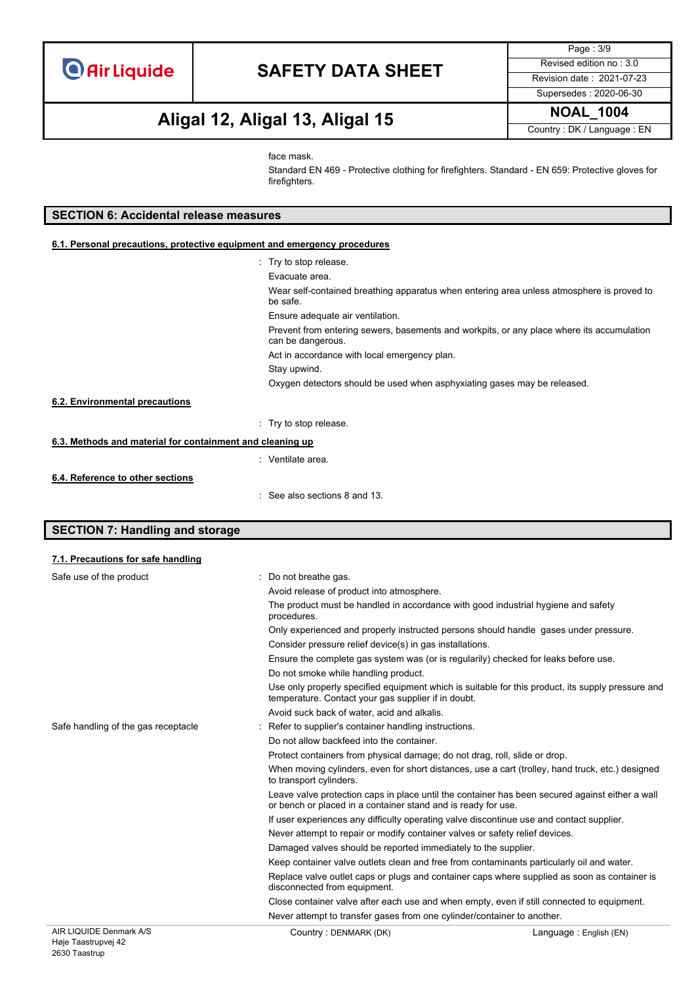Page : 3/9 Supersedes : 2020-06-30

# **NOAL\_1004 Aligal 12, Aligal 13, Aligal 15**

Country : DK / Language : EN

face mask.

Standard EN 469 - Protective clothing for firefighters. Standard - EN 659: Protective gloves for firefighters.

#### **SECTION 6: Accidental release measures**

#### **6.1. Personal precautions, protective equipment and emergency procedures**

|                                                           | : Try to stop release.                                                                                         |
|-----------------------------------------------------------|----------------------------------------------------------------------------------------------------------------|
|                                                           | Evacuate area.                                                                                                 |
|                                                           | Wear self-contained breathing apparatus when entering area unless atmosphere is proved to<br>be safe.          |
|                                                           | Ensure adequate air ventilation.                                                                               |
|                                                           | Prevent from entering sewers, basements and workpits, or any place where its accumulation<br>can be dangerous. |
|                                                           | Act in accordance with local emergency plan.                                                                   |
|                                                           | Stay upwind.                                                                                                   |
|                                                           | Oxygen detectors should be used when asphyxiating gases may be released.                                       |
| 6.2. Environmental precautions                            |                                                                                                                |
|                                                           | : Try to stop release.                                                                                         |
| 6.3. Methods and material for containment and cleaning up |                                                                                                                |
|                                                           | : Ventilate area.                                                                                              |
| 6.4. Reference to other sections                          |                                                                                                                |
|                                                           | $\therefore$ See also sections 8 and 13.                                                                       |

### **SECTION 7: Handling and storage**

| 7.1. Precautions for safe handling  |                                                                                                                                                                  |
|-------------------------------------|------------------------------------------------------------------------------------------------------------------------------------------------------------------|
| Safe use of the product             | Do not breathe gas.                                                                                                                                              |
|                                     | Avoid release of product into atmosphere.                                                                                                                        |
|                                     | The product must be handled in accordance with good industrial hygiene and safety<br>procedures.                                                                 |
|                                     | Only experienced and properly instructed persons should handle gases under pressure.                                                                             |
|                                     | Consider pressure relief device(s) in gas installations.                                                                                                         |
|                                     | Ensure the complete gas system was (or is regularily) checked for leaks before use.                                                                              |
|                                     | Do not smoke while handling product.                                                                                                                             |
|                                     | Use only properly specified equipment which is suitable for this product, its supply pressure and<br>temperature. Contact your gas supplier if in doubt.         |
|                                     | Avoid suck back of water, acid and alkalis.                                                                                                                      |
| Safe handling of the gas receptacle | Refer to supplier's container handling instructions.                                                                                                             |
|                                     | Do not allow backfeed into the container.                                                                                                                        |
|                                     | Protect containers from physical damage; do not drag, roll, slide or drop.                                                                                       |
|                                     | When moving cylinders, even for short distances, use a cart (trolley, hand truck, etc.) designed<br>to transport cylinders.                                      |
|                                     | Leave valve protection caps in place until the container has been secured against either a wall<br>or bench or placed in a container stand and is ready for use. |
|                                     | If user experiences any difficulty operating valve discontinue use and contact supplier.                                                                         |
|                                     | Never attempt to repair or modify container valves or safety relief devices.                                                                                     |
|                                     | Damaged valves should be reported immediately to the supplier.                                                                                                   |
|                                     | Keep container valve outlets clean and free from contaminants particularly oil and water.                                                                        |
|                                     | Replace valve outlet caps or plugs and container caps where supplied as soon as container is<br>disconnected from equipment.                                     |
|                                     | Close container valve after each use and when empty, even if still connected to equipment.                                                                       |
|                                     | Never attempt to transfer gases from one cylinder/container to another.                                                                                          |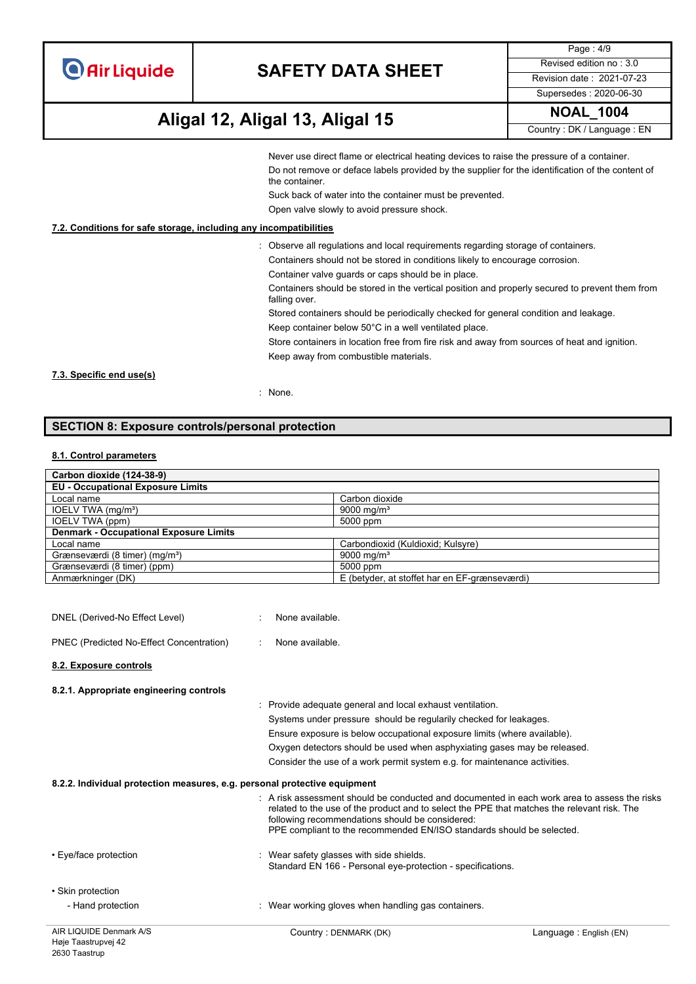| <b>O</b> Air Liquide |  |  |
|----------------------|--|--|
|                      |  |  |
|                      |  |  |
|                      |  |  |

Page : 4/9 Supersedes : 2020-06-30

### **NOAL\_1004 Aligal 12, Aligal 13, Aligal 15**

Country : DK / Language : EN

Never use direct flame or electrical heating devices to raise the pressure of a container. Do not remove or deface labels provided by the supplier for the identification of the content of the container.

Suck back of water into the container must be prevented.

Open valve slowly to avoid pressure shock.

#### **7.2. Conditions for safe storage, including any incompatibilities**

- : Observe all regulations and local requirements regarding storage of containers.
	- Containers should not be stored in conditions likely to encourage corrosion.

Container valve guards or caps should be in place.

Containers should be stored in the vertical position and properly secured to prevent them from falling over.

Stored containers should be periodically checked for general condition and leakage.

Keep container below 50°C in a well ventilated place.

Store containers in location free from fire risk and away from sources of heat and ignition. Keep away from combustible materials.

**7.3. Specific end use(s)**

: None.

### **SECTION 8: Exposure controls/personal protection**

#### **8.1. Control parameters**

| Carbon dioxide (124-38-9)                     |                                               |
|-----------------------------------------------|-----------------------------------------------|
| <b>EU - Occupational Exposure Limits</b>      |                                               |
| Local name                                    | Carbon dioxide                                |
| IOELV TWA (mg/m <sup>3</sup> )                | 9000 mg/m <sup>3</sup>                        |
| IOELV TWA (ppm)                               | 5000 ppm                                      |
| <b>Denmark - Occupational Exposure Limits</b> |                                               |
| Local name                                    | Carbondioxid (Kuldioxid; Kulsyre)             |
| Grænseværdi (8 timer) (mg/m <sup>3</sup> )    | 9000 mg/m <sup>3</sup>                        |
| Grænseværdi (8 timer) (ppm)                   | 5000 ppm                                      |
| Anmærkninger (DK)                             | E (betyder, at stoffet har en EF-grænseværdi) |

| AIR LIQUIDE Denmark A/S                                                   | Country: DENMARK (DK)                                                                                                                                                                                                                                                                                                 | Language: English (EN) |
|---------------------------------------------------------------------------|-----------------------------------------------------------------------------------------------------------------------------------------------------------------------------------------------------------------------------------------------------------------------------------------------------------------------|------------------------|
| - Hand protection                                                         | : Wear working gloves when handling gas containers.                                                                                                                                                                                                                                                                   |                        |
| • Eye/face protection<br>• Skin protection                                | : Wear safety glasses with side shields.<br>Standard EN 166 - Personal eye-protection - specifications.                                                                                                                                                                                                               |                        |
|                                                                           | A risk assessment should be conducted and documented in each work area to assess the risks<br>related to the use of the product and to select the PPE that matches the relevant risk. The<br>following recommendations should be considered:<br>PPE compliant to the recommended EN/ISO standards should be selected. |                        |
| 8.2.2. Individual protection measures, e.g. personal protective equipment |                                                                                                                                                                                                                                                                                                                       |                        |
|                                                                           | Consider the use of a work permit system e.g. for maintenance activities.                                                                                                                                                                                                                                             |                        |
|                                                                           | Oxygen detectors should be used when asphyxiating gases may be released.                                                                                                                                                                                                                                              |                        |
|                                                                           | Ensure exposure is below occupational exposure limits (where available).                                                                                                                                                                                                                                              |                        |
|                                                                           | Systems under pressure should be regularily checked for leakages.                                                                                                                                                                                                                                                     |                        |
|                                                                           | Provide adequate general and local exhaust ventilation.                                                                                                                                                                                                                                                               |                        |
| 8.2.1. Appropriate engineering controls                                   |                                                                                                                                                                                                                                                                                                                       |                        |
| 8.2. Exposure controls                                                    |                                                                                                                                                                                                                                                                                                                       |                        |
| PNEC (Predicted No-Effect Concentration)                                  | None available.                                                                                                                                                                                                                                                                                                       |                        |
| DNEL (Derived-No Effect Level)                                            | None available.                                                                                                                                                                                                                                                                                                       |                        |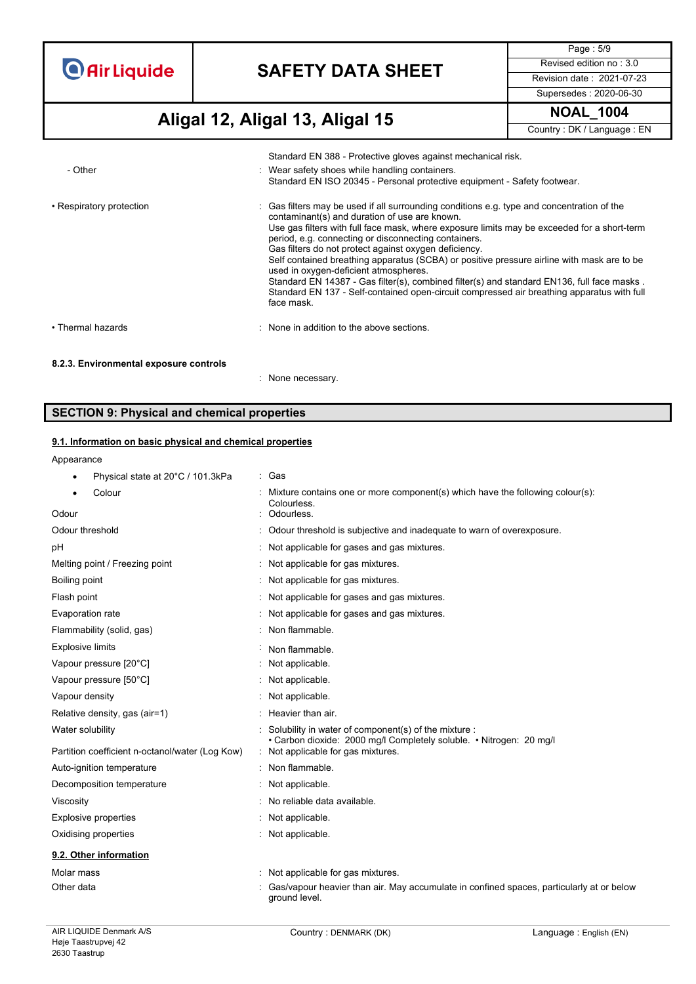# **SAFETY DATA SHEET** Revised edition no : 3.0

Page : 5/9 Supersedes : 2020-06-30

**NOAL\_1004 Aligal 12, Aligal 13, Aligal 15**

|  | Country: DK / Language: EN |
|--|----------------------------|
|--|----------------------------|

|                                        | Standard EN 388 - Protective gloves against mechanical risk.                                                                                                                                                                                                                                                                                                                                                                                                                                                                                                                                                                                                                                                 |
|----------------------------------------|--------------------------------------------------------------------------------------------------------------------------------------------------------------------------------------------------------------------------------------------------------------------------------------------------------------------------------------------------------------------------------------------------------------------------------------------------------------------------------------------------------------------------------------------------------------------------------------------------------------------------------------------------------------------------------------------------------------|
| - Other                                | Wear safety shoes while handling containers.<br>Standard EN ISO 20345 - Personal protective equipment - Safety footwear.                                                                                                                                                                                                                                                                                                                                                                                                                                                                                                                                                                                     |
| • Respiratory protection               | : Gas filters may be used if all surrounding conditions e.g. type and concentration of the<br>contaminant(s) and duration of use are known.<br>Use gas filters with full face mask, where exposure limits may be exceeded for a short-term<br>period, e.g. connecting or disconnecting containers.<br>Gas filters do not protect against oxygen deficiency.<br>Self contained breathing apparatus (SCBA) or positive pressure airline with mask are to be<br>used in oxygen-deficient atmospheres.<br>Standard EN 14387 - Gas filter(s), combined filter(s) and standard EN136, full face masks.<br>Standard EN 137 - Self-contained open-circuit compressed air breathing apparatus with full<br>face mask. |
| • Thermal hazards                      | : None in addition to the above sections.                                                                                                                                                                                                                                                                                                                                                                                                                                                                                                                                                                                                                                                                    |
| 8.2.3. Environmental exposure controls |                                                                                                                                                                                                                                                                                                                                                                                                                                                                                                                                                                                                                                                                                                              |
|                                        | None necessary.                                                                                                                                                                                                                                                                                                                                                                                                                                                                                                                                                                                                                                                                                              |

### **SECTION 9: Physical and chemical properties**

#### **9.1. Information on basic physical and chemical properties**

|  |  | Appearance |
|--|--|------------|
|  |  |            |

| Physical state at 20°C / 101.3kPa               | : Gas                                                                                                                         |
|-------------------------------------------------|-------------------------------------------------------------------------------------------------------------------------------|
| Colour                                          | Mixture contains one or more component(s) which have the following colour(s):<br>Colourless.                                  |
| Odour                                           | Odourless.                                                                                                                    |
| Odour threshold                                 | Odour threshold is subjective and inadequate to warn of overexposure.                                                         |
| рH                                              | : Not applicable for gases and gas mixtures.                                                                                  |
| Melting point / Freezing point                  | Not applicable for gas mixtures.                                                                                              |
| Boiling point                                   | : Not applicable for gas mixtures.                                                                                            |
| Flash point                                     | : Not applicable for gases and gas mixtures.                                                                                  |
| Evaporation rate                                | Not applicable for gases and gas mixtures.                                                                                    |
| Flammability (solid, gas)                       | : Non flammable.                                                                                                              |
| <b>Explosive limits</b>                         | Non flammable.                                                                                                                |
| Vapour pressure [20°C]                          | Not applicable.                                                                                                               |
| Vapour pressure [50°C]                          | : Not applicable.                                                                                                             |
| Vapour density                                  | Not applicable.                                                                                                               |
| Relative density, gas (air=1)                   | Heavier than air.                                                                                                             |
| Water solubility                                | : Solubility in water of component(s) of the mixture :<br>• Carbon dioxide: 2000 mg/l Completely soluble. • Nitrogen: 20 mg/l |
| Partition coefficient n-octanol/water (Log Kow) | : Not applicable for gas mixtures.                                                                                            |
| Auto-ignition temperature                       | : Non flammable.                                                                                                              |
| Decomposition temperature                       | Not applicable.                                                                                                               |
| Viscosity                                       | : No reliable data available.                                                                                                 |
| Explosive properties                            | Not applicable.                                                                                                               |
| Oxidising properties                            | Not applicable.                                                                                                               |
| 9.2. Other information                          |                                                                                                                               |
| Molar mass                                      | Not applicable for gas mixtures.                                                                                              |
| Other data                                      | Gas/vapour heavier than air. May accumulate in confined spaces, particularly at or below<br>around level.                     |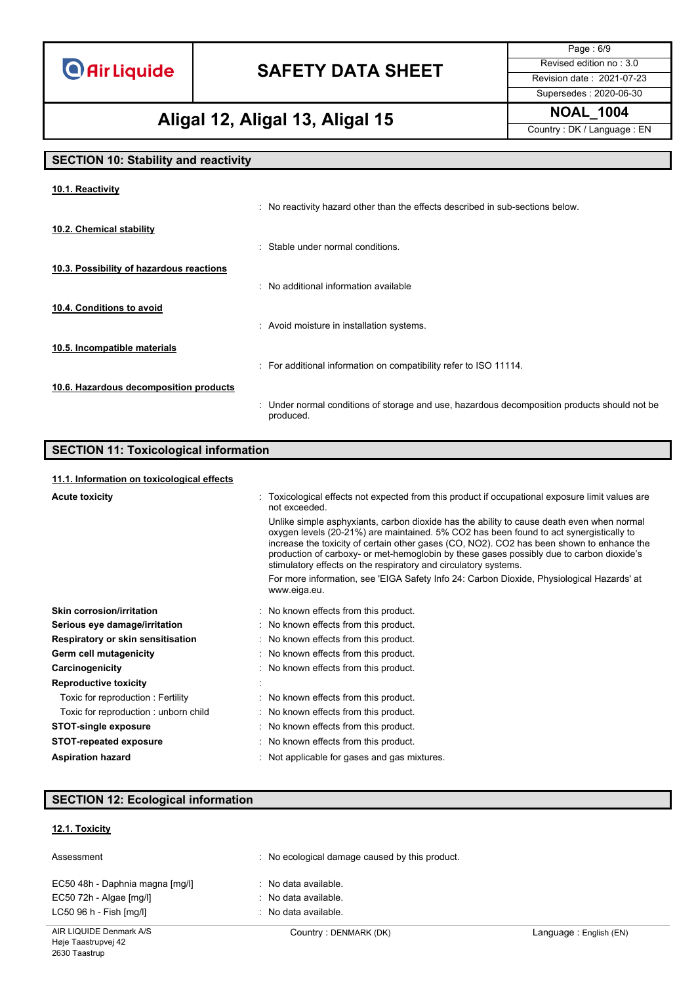# **SAFETY DATA SHEET** Revised edition no : 3.0

Page : 6/9 Supersedes : 2020-06-30

### **NOAL\_1004 Aligal 12, Aligal 13, Aligal 15**

Country : DK / Language : EN

### **SECTION 10: Stability and reactivity**

| : No reactivity hazard other than the effects described in sub-sections below.                            |
|-----------------------------------------------------------------------------------------------------------|
|                                                                                                           |
| : Stable under normal conditions.                                                                         |
|                                                                                                           |
| : No additional information available                                                                     |
|                                                                                                           |
| : Avoid moisture in installation systems.                                                                 |
|                                                                                                           |
| : For additional information on compatibility refer to ISO 11114.                                         |
|                                                                                                           |
| : Under normal conditions of storage and use, hazardous decomposition products should not be<br>produced. |
|                                                                                                           |

### **SECTION 11: Toxicological information**

#### **11.1. Information on toxicological effects**

| <b>Acute toxicity</b>                | : Toxicological effects not expected from this product if occupational exposure limit values are<br>not exceeded.                                                                                                                                                                                                                                                                                                                               |
|--------------------------------------|-------------------------------------------------------------------------------------------------------------------------------------------------------------------------------------------------------------------------------------------------------------------------------------------------------------------------------------------------------------------------------------------------------------------------------------------------|
|                                      | Unlike simple asphyxiants, carbon dioxide has the ability to cause death even when normal<br>oxygen levels (20-21%) are maintained. 5% CO2 has been found to act synergistically to<br>increase the toxicity of certain other gases (CO, NO2). CO2 has been shown to enhance the<br>production of carboxy- or met-hemoglobin by these gases possibly due to carbon dioxide's<br>stimulatory effects on the respiratory and circulatory systems. |
|                                      | For more information, see 'EIGA Safety Info 24: Carbon Dioxide, Physiological Hazards' at<br>www.eiga.eu.                                                                                                                                                                                                                                                                                                                                       |
| Skin corrosion/irritation            | : No known effects from this product.                                                                                                                                                                                                                                                                                                                                                                                                           |
| Serious eye damage/irritation        | : No known effects from this product.                                                                                                                                                                                                                                                                                                                                                                                                           |
| Respiratory or skin sensitisation    | : No known effects from this product.                                                                                                                                                                                                                                                                                                                                                                                                           |
| Germ cell mutagenicity               | : No known effects from this product.                                                                                                                                                                                                                                                                                                                                                                                                           |
| Carcinogenicity                      | : No known effects from this product.                                                                                                                                                                                                                                                                                                                                                                                                           |
| <b>Reproductive toxicity</b>         |                                                                                                                                                                                                                                                                                                                                                                                                                                                 |
| Toxic for reproduction: Fertility    | : No known effects from this product.                                                                                                                                                                                                                                                                                                                                                                                                           |
| Toxic for reproduction: unborn child | : No known effects from this product.                                                                                                                                                                                                                                                                                                                                                                                                           |
| <b>STOT-single exposure</b>          | : No known effects from this product.                                                                                                                                                                                                                                                                                                                                                                                                           |
| <b>STOT-repeated exposure</b>        | : No known effects from this product.                                                                                                                                                                                                                                                                                                                                                                                                           |
| <b>Aspiration hazard</b>             | : Not applicable for gases and gas mixtures.                                                                                                                                                                                                                                                                                                                                                                                                    |

### **SECTION 12: Ecological information**

#### **12.1. Toxicity**

| Assessment                      | No ecological damage caused by this product. |  |
|---------------------------------|----------------------------------------------|--|
| EC50 48h - Daphnia magna [mg/l] | : No data available.                         |  |
| EC50 72h - Algae [mg/l]         | : No data available.                         |  |
| LC50 96 h - Fish [mq/l]         | $\therefore$ No data available.              |  |
|                                 |                                              |  |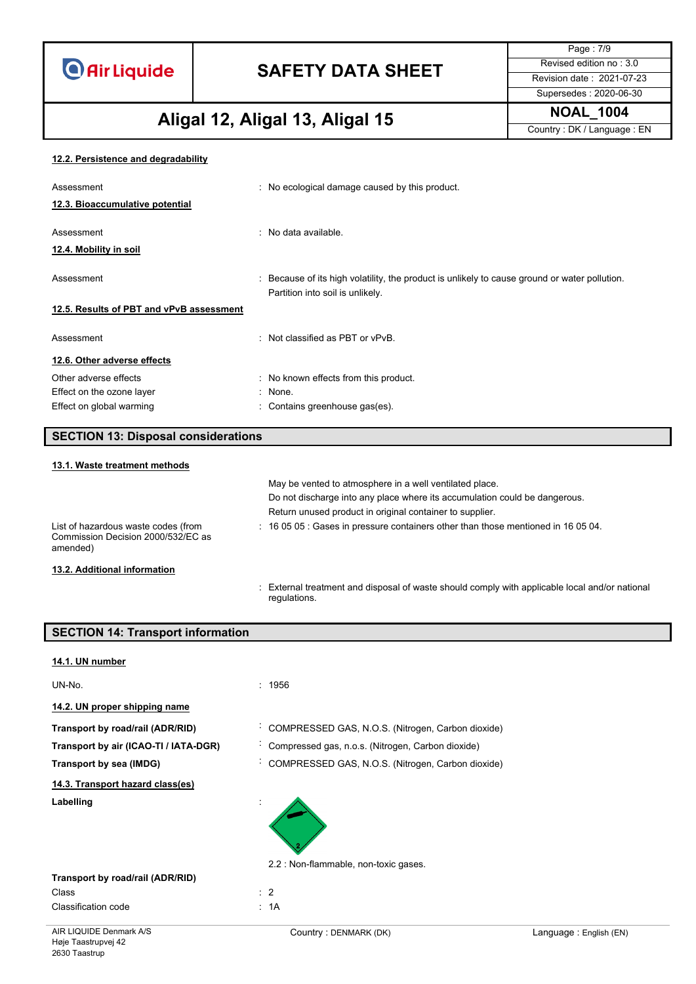# **SAFETY DATA SHEET** Revised edition no : 3.0

Page : 7/9 Supersedes : 2020-06-30

# **NOAL\_1004 Aligal 12, Aligal 13, Aligal 15**

Country : DK / Language : EN

#### **12.2. Persistence and degradability**

| Assessment                               | : No ecological damage caused by this product.                                                                                    |
|------------------------------------------|-----------------------------------------------------------------------------------------------------------------------------------|
| 12.3. Bioaccumulative potential          |                                                                                                                                   |
| Assessment<br>12.4. Mobility in soil     | : No data available.                                                                                                              |
| Assessment                               | : Because of its high volatility, the product is unlikely to cause ground or water pollution.<br>Partition into soil is unlikely. |
| 12.5. Results of PBT and vPvB assessment |                                                                                                                                   |
| Assessment                               | : Not classified as PBT or vPvB.                                                                                                  |
| 12.6. Other adverse effects              |                                                                                                                                   |
| Other adverse effects                    | : No known effects from this product.                                                                                             |
| Effect on the ozone layer                | : None.                                                                                                                           |
| Effect on global warming                 | : Contains greenhouse gas(es).                                                                                                    |

| <b>SECTION 13: Disposal considerations</b> |  |
|--------------------------------------------|--|
|                                            |  |

| 13.1. Waste treatment methods                                                         |                                                                                        |
|---------------------------------------------------------------------------------------|----------------------------------------------------------------------------------------|
|                                                                                       | May be vented to atmosphere in a well ventilated place.                                |
|                                                                                       | Do not discharge into any place where its accumulation could be dangerous.             |
|                                                                                       | Return unused product in original container to supplier.                               |
| List of hazardous waste codes (from<br>Commission Decision 2000/532/EC as<br>amended) | $\div$ 16 05 05 : Gases in pressure containers other than those mentioned in 16 05 04. |
| 13.2. Additional information                                                          |                                                                                        |

: External treatment and disposal of waste should comply with applicable local and/or national regulations.

| <b>SECTION 14: Transport information</b> |                                                   |
|------------------------------------------|---------------------------------------------------|
|                                          |                                                   |
| 14.1. UN number                          |                                                   |
| UN-No.                                   | : 1956                                            |
| 14.2. UN proper shipping name            |                                                   |
| Transport by road/rail (ADR/RID)         | COMPRESSED GAS, N.O.S. (Nitrogen, Carbon dioxide) |
| Transport by air (ICAO-TI / IATA-DGR)    | Compressed gas, n.o.s. (Nitrogen, Carbon dioxide) |
| Transport by sea (IMDG)                  | COMPRESSED GAS, N.O.S. (Nitrogen, Carbon dioxide) |
| 14.3. Transport hazard class(es)         |                                                   |
| Labelling                                |                                                   |
|                                          | 2.2 : Non-flammable, non-toxic gases.             |
| Transport by road/rail (ADR/RID)         |                                                   |
| Class                                    | : 2                                               |
| <b>Classification code</b>               | : 1A                                              |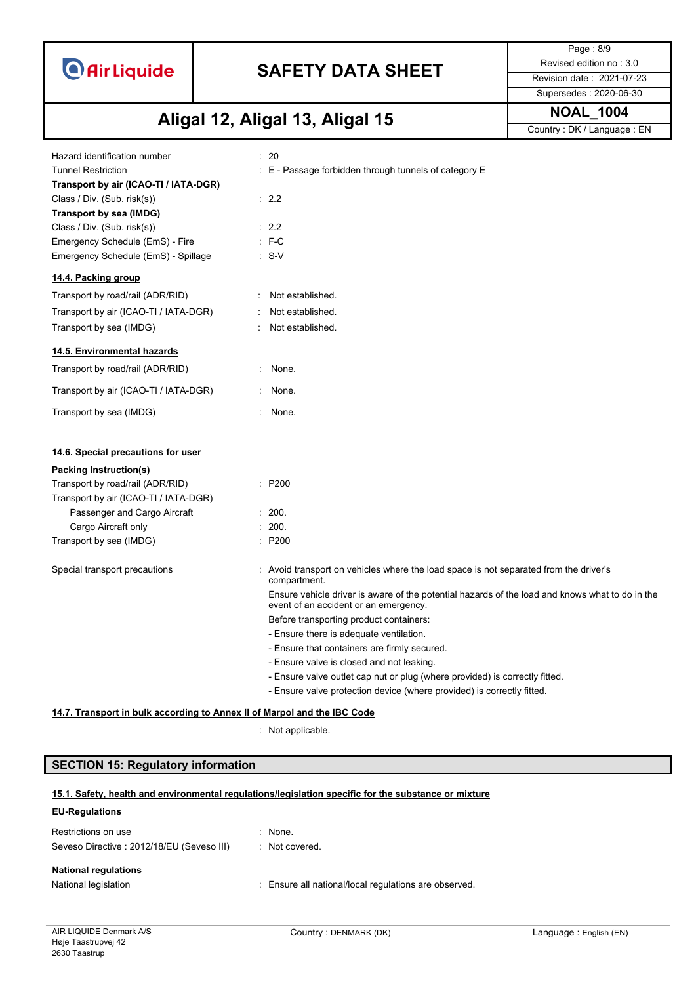# **SAFETY DATA SHEET** Revised edition no : 3.0

Supersedes : 2020-06-30

Page : 8/9

# **NOAL\_1004 Aligal 12, Aligal 13, Aligal 15**

Country : DK / Language : EN

| Hazard identification number<br><b>Tunnel Restriction</b><br>Transport by air (ICAO-TI / IATA-DGR)<br>Class / Div. (Sub. risk(s))<br>Transport by sea (IMDG)<br>Class / Div. (Sub. risk(s))<br>Emergency Schedule (EmS) - Fire<br>Emergency Schedule (EmS) - Spillage |                             | : 20<br>$\pm$ E - Passage forbidden through tunnels of category E<br>$\therefore$ 2.2<br>$\therefore$ 2.2<br>$E - C$<br>$: S-V$          |
|-----------------------------------------------------------------------------------------------------------------------------------------------------------------------------------------------------------------------------------------------------------------------|-----------------------------|------------------------------------------------------------------------------------------------------------------------------------------|
| 14.4. Packing group                                                                                                                                                                                                                                                   |                             |                                                                                                                                          |
| Transport by road/rail (ADR/RID)                                                                                                                                                                                                                                      |                             | Not established.                                                                                                                         |
| Transport by air (ICAO-TI / IATA-DGR)                                                                                                                                                                                                                                 | ÷                           | Not established.                                                                                                                         |
| Transport by sea (IMDG)                                                                                                                                                                                                                                               |                             | Not established.                                                                                                                         |
| 14.5. Environmental hazards                                                                                                                                                                                                                                           |                             |                                                                                                                                          |
| Transport by road/rail (ADR/RID)                                                                                                                                                                                                                                      | $\mathcal{I}^{\mathcal{I}}$ | None.                                                                                                                                    |
| Transport by air (ICAO-TI / IATA-DGR)                                                                                                                                                                                                                                 | $\mathcal{L}^{\mathcal{L}}$ | None.                                                                                                                                    |
| Transport by sea (IMDG)                                                                                                                                                                                                                                               |                             | None.                                                                                                                                    |
| 14.6. Special precautions for user                                                                                                                                                                                                                                    |                             |                                                                                                                                          |
| Packing Instruction(s)                                                                                                                                                                                                                                                |                             |                                                                                                                                          |
| Transport by road/rail (ADR/RID)                                                                                                                                                                                                                                      |                             | : P200                                                                                                                                   |
| Transport by air (ICAO-TI / IATA-DGR)                                                                                                                                                                                                                                 |                             |                                                                                                                                          |
| Passenger and Cargo Aircraft                                                                                                                                                                                                                                          |                             | : 200.                                                                                                                                   |
| Cargo Aircraft only                                                                                                                                                                                                                                                   |                             | : 200.                                                                                                                                   |
| Transport by sea (IMDG)                                                                                                                                                                                                                                               |                             | : P200                                                                                                                                   |
| Special transport precautions                                                                                                                                                                                                                                         |                             | Avoid transport on vehicles where the load space is not separated from the driver's<br>compartment.                                      |
|                                                                                                                                                                                                                                                                       |                             | Ensure vehicle driver is aware of the potential hazards of the load and knows what to do in the<br>event of an accident or an emergency. |
|                                                                                                                                                                                                                                                                       |                             | Before transporting product containers:                                                                                                  |
|                                                                                                                                                                                                                                                                       |                             | - Ensure there is adequate ventilation.                                                                                                  |
|                                                                                                                                                                                                                                                                       |                             | - Ensure that containers are firmly secured.                                                                                             |
|                                                                                                                                                                                                                                                                       |                             | - Ensure valve is closed and not leaking.                                                                                                |
|                                                                                                                                                                                                                                                                       |                             | - Ensure valve outlet cap nut or plug (where provided) is correctly fitted.                                                              |
|                                                                                                                                                                                                                                                                       |                             | - Ensure valve protection device (where provided) is correctly fitted.                                                                   |
| 14.7. Transport in bulk according to Annex II of Marpol and the IBC Code                                                                                                                                                                                              |                             |                                                                                                                                          |
|                                                                                                                                                                                                                                                                       |                             | Not applicable.                                                                                                                          |

### **SECTION 15: Regulatory information**

#### **15.1. Safety, health and environmental regulations/legislation specific for the substance or mixture**

#### **EU-Regulations**

| Restrictions on use                       | : None.        |
|-------------------------------------------|----------------|
| Seveso Directive: 2012/18/EU (Seveso III) | : Not covered. |
| <b>National regulations</b>               |                |

National legislation **interval in the Community Community** Ensure all national/local regulations are observed.